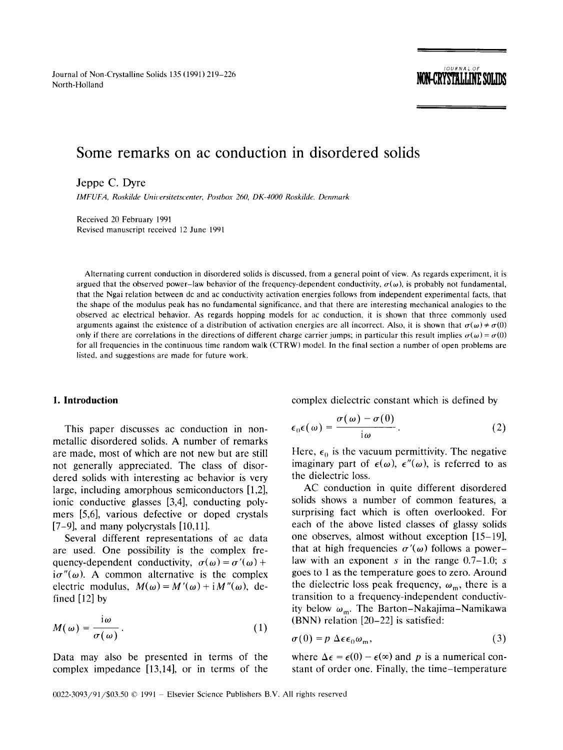Journal of Non-Crystalline Solids 135 (1991) 219-226 North-Holland **ITUR-LOLLING DULLUN** North-Holland **ITUR-ULLING OULLUN** 

# *JOURNAL OF*

# **Some remarks on ac conduction in disordered solids**

Jeppe C. Dyre

*IMFUFA, Roskilde Unil,ersitetscenter, Postbox 260, DK-4000 Roskihle, Denmark* 

Received 20 February 1991 Revised manuscript received 12 June 199l

Alternating current conduction in disordered solids is discussed, from a general point of view. As regards experiment, it is argued that the observed power-law behavior of the frequency-dependent conductivity,  $\sigma(\omega)$ , is probably not fundamental, that the Ngai relation between dc and ac conductivity activation energies follows from independent experimental facts, that the shape of the modulus peak has no fundamental significance, and that there are interesting mechanical analogies to the observed ac electrical behavior. As regards hopping models for ac conduction, it is shown that three commonly used arguments against the existence of a distribution of activation energies are all incorrect. Also, it is shown that  $\sigma(\omega) \neq \sigma(0)$ only if there are correlations in the directions of different charge carrier jumps; in particular this result implies  $\sigma(\omega) = \sigma(0)$ for all frequencies in the continuous time random walk (CTRW) model. In the final section a number of open problems are listed, and suggestions are made for future work.

#### **1. Introduction**

This paper discusses ac conduction in nonmetallic disordered solids. A number of remarks are made, most of which are not new but are still not generally appreciated. The class of disordered solids with interesting ac behavior is very large, including amorphous semiconductors [1,2], ionic conductive glasses [3,4], conducting polymers [5,6], various defective or doped crystals [7-9], and many polycrystals [10,11].

Several different representations of ac data are used. One possibility is the complex frequency-dependent conductivity,  $\sigma(\omega) = \sigma'(\omega) +$  $i\sigma''(\omega)$ . A common alternative is the complex electric modulus,  $M(\omega) = M'(\omega) + iM''(\omega)$ , defined [12] by

$$
M(\omega) = \frac{i\omega}{\sigma(\omega)}.
$$
 (1)

Data may also be presented in terms of the complex impedance [13,14], or in terms of the complex dielectric constant which is defined by

$$
\epsilon_0 \epsilon(\omega) = \frac{\sigma(\omega) - \sigma(0)}{\mathrm{i}\omega} \,. \tag{2}
$$

Here,  $\epsilon_0$  is the vacuum permittivity. The negative imaginary part of  $\epsilon(\omega)$ ,  $\epsilon''(\omega)$ , is referred to as the dielectric loss.

AC conduction in quite different disordered solids shows a number of common features, a surprising fact which is often overlooked. For each of the above listed classes of glassy solids one observes, almost without exception [15-19], that at high frequencies  $\sigma'(\omega)$  follows a powerlaw with an exponent s in the range  $0.7-1.0$ ; s goes to 1 as the temperature goes to zero. Around the dielectric loss peak frequency,  $\omega_{\rm m}$ , there is a transition to a frequency-independent conductivity below  $\omega_{\rm m}$ . The Barton-Nakajima-Namikawa (BNN) relation [20-22] is satisfied:

$$
\sigma(0) = p \Delta \epsilon \epsilon_0 \omega_m, \qquad (3)
$$

where  $\Delta \epsilon = \epsilon(0) - \epsilon(\infty)$  and p is a numerical constant of order one. Finally, the time-temperature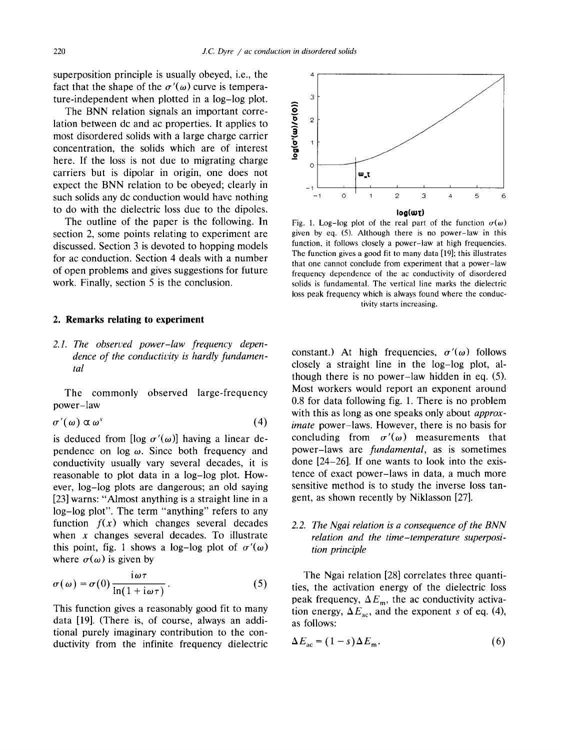superposition principle is usually obeyed, i.e., the fact that the shape of the  $\sigma'(\omega)$  curve is temperature-independent when plotted in a log-log plot.

The BNN relation signals an important correlation between dc and ac properties. It applies to most disordered solids with a large charge carrier concentration, the solids which are of interest here. If the loss is not due to migrating charge carriers but is dipolar in origin, one does not expect the BNN relation to be obeyed; clearly in such solids any dc conduction would have nothing to do with the dielectric loss due to the dipoles.

The outline of the paper is the following. In section 2, some points relating to experiment are discussed. Section 3 is devoted to hopping models for ac conduction. Section 4 deals with a number of open problems and gives suggestions for future work. Finally, section 5 is the conclusion.

#### **2. Remarks relating to experiment**

*2.1. The observed power-law frequency dependence of the conductivity is hardly fundamental* 

The commonly observed large-frequency power-law

$$
\sigma'(\omega) \propto \omega^s \tag{4}
$$

is deduced from [log  $\sigma'(\omega)$ ] having a linear dependence on  $log \omega$ . Since both frequency and conductivity usually vary several decades, it is reasonable to plot data in a log-log plot. However, log-log plots are dangerous; an old saying [23] warns: "Almost anything is a straight line in a log-log plot". The term "anything" refers to any function  $f(x)$  which changes several decades when  $x$  changes several decades. To illustrate this point, fig. 1 shows a log-log plot of  $\sigma'(\omega)$ where  $\sigma(\omega)$  is given by

$$
\sigma(\omega) = \sigma(0) \frac{i\omega\tau}{\ln(1 + i\omega\tau)}.
$$
 (5)

This function gives a reasonably good fit to many data [19]. (There is, of course, always an additional purely imaginary contribution to the conductivity from the infinite frequency dielectric



Fig. 1. Log-log plot of the real part of the function  $\sigma(\omega)$ given by eq. (5). Although there is no power-law in this function, it follows closely a power-law at high frequencies. The function gives a good fit to many data [19]; this illustrates that one cannot conclude from experiment that a power-law frequency dependence of the ac conductivity of disordered solids is fundamental. The vertical line marks the dielectric loss peak frequency which is always found where the conductivity starts increasing.

constant.) At high frequencies,  $\sigma'(\omega)$  follows closely a straight line in the log-log plot, although there is no power-law hidden in eq. (5). Most workers would report an exponent around 0.8 for data following fig. 1. There is no problem with this as long as one speaks only about *approximate* power-laws. However, there is no basis for concluding from  $\sigma'(\omega)$  measurements that power-laws are *fundamental*, as is sometimes done [24-26]. If one wants to look into the existence of exact power-laws in data, a much more sensitive method is to study the inverse loss tangent, as shown recently by Niklasson [27].

## *2.2. The Ngai relation is a consequence of the BNN relation and the time-temperature superposition principle*

The Ngai relation [28] correlates three quantities, the activation energy of the dielectric loss peak frequency,  $\Delta E_{\text{m}}$ , the ac conductivity activation energy,  $\Delta E_{ac}$ , and the exponent s of eq. (4), as follows:

$$
\Delta E_{ac} = (1 - s) \Delta E_m. \tag{6}
$$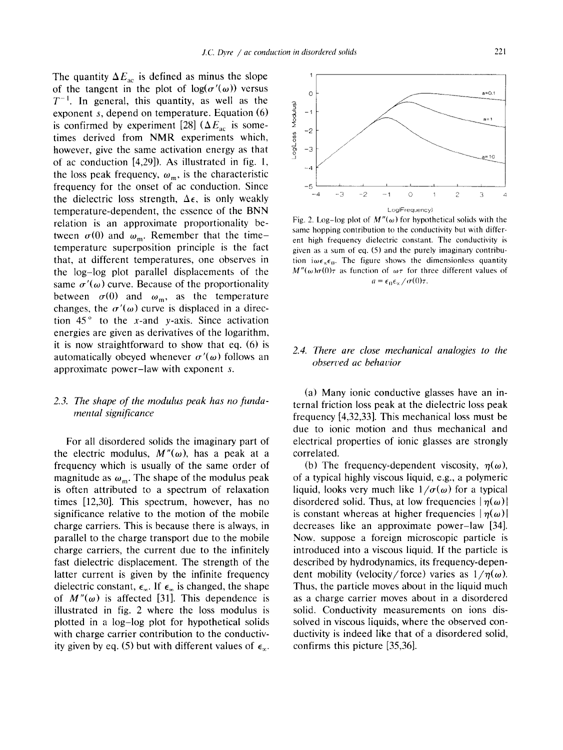The quantity  $\Delta E_{ac}$  is defined as minus the slope of the tangent in the plot of  $log(\sigma'(\omega))$  versus  $T^{-1}$ . In general, this quantity, as well as the exponent s, depend on temperature. Equation (6) is confirmed by experiment [28] ( $\Delta E_{ac}$  is sometimes derived from NMR experiments which, however, give the same activation energy as that of ac conduction [4,29]). As illustrated in fig. 1, the loss peak frequency,  $\omega_m$ , is the characteristic frequency for the onset of ac conduction. Since the dielectric loss strength,  $\Delta \epsilon$ , is only weakly temperature-dependent, the essence of the BNN relation is an approximate proportionality between  $\sigma(0)$  and  $\omega_m$ . Remember that the timetemperature superposition principle is the fact that, at different temperatures, one observes in the log-log plot parallel displacements of the same  $\sigma'(\omega)$  curve. Because of the proportionality between  $\sigma(0)$  and  $\omega_m$ , as the temperature changes, the  $\sigma'(\omega)$  curve is displaced in a direction  $45^\circ$  to the x-and y-axis. Since activation energies are given as derivatives of the logarithm, it is now straightforward to show that eq. (6) is automatically obeyed whenever  $\sigma'(\omega)$  follows an approximate power-law with exponent s.

#### *2.3. The shape of the modulus peak has no fundamental significance*

For all disordered solids the imaginary part of the electric modulus,  $M''(\omega)$ , has a peak at a frequency which is usually of the same order of magnitude as  $\omega_m$ . The shape of the modulus peak is often attributed to a spectrum of relaxation times [12,30]. This spectrum, however, has no significance relative to the motion of the mobile charge carriers. This is because there is always, in parallel to the charge transport due to the mobile charge carriers, the current due to the infinitely fast dielectric displacement. The strength of the latter current is given by the infinite frequency dielectric constant,  $\epsilon_{\infty}$ . If  $\epsilon_{\infty}$  is changed, the shape of  $M''(\omega)$  is affected [31]. This dependence is illustrated in fig. 2 where the loss modulus is plotted in a log-log plot for hypothetical solids with charge carrier contribution to the conductivity given by eq. (5) but with different values of  $\epsilon_{\infty}$ .



Fig. 2. Log-log plot of  $M''(\omega)$  for hypothetical solids with the same hopping contribution to the conductivity but with different high frequency dielectric constant. The conductivity is given as a sum of eq. (5) and the purely imaginary contribution  $i\omega\epsilon_{\gamma}\epsilon_{0}$ . The figure shows the dimensionless quantity  $M''(\omega)\sigma(0)\tau$  as function of  $\omega\tau$  for three different values of  $a = \epsilon_0 \epsilon_x/\sigma(0)\tau$ .

# *2.4. There are close mechanical analogies to the obsert,ed ac behat,ior*

(a) Many ionic conductive glasses have an internal friction loss peak at the dielectric loss peak frequency [4,32,33]. This mechanical loss must be due to ionic motion and thus mechanical and electrical properties of ionic glasses are strongly correlated.

(b) The frequency-dependent viscosity,  $\eta(\omega)$ , of a typical highly viscous liquid, e.g., a polymeric liquid, looks very much like  $1/\sigma(\omega)$  for a typical disordered solid. Thus, at low frequencies  $|\eta(\omega)|$ is constant whereas at higher frequencies  $|\eta(\omega)|$ decreases like an approximate power-law [34]. Now. suppose a foreign microscopic particle is introduced into a viscous liquid. If the particle is described by hydrodynamics, its frequency-dependent mobility (velocity/force) varies as  $1/n(\omega)$ . Thus, the particle moves about in the liquid much as a charge carrier moves about in a disordered solid. Conductivity measurements on ions dissolved in viscous liquids, where the observed conductivity is indeed like that of a disordered solid, confirms this picture [35,36].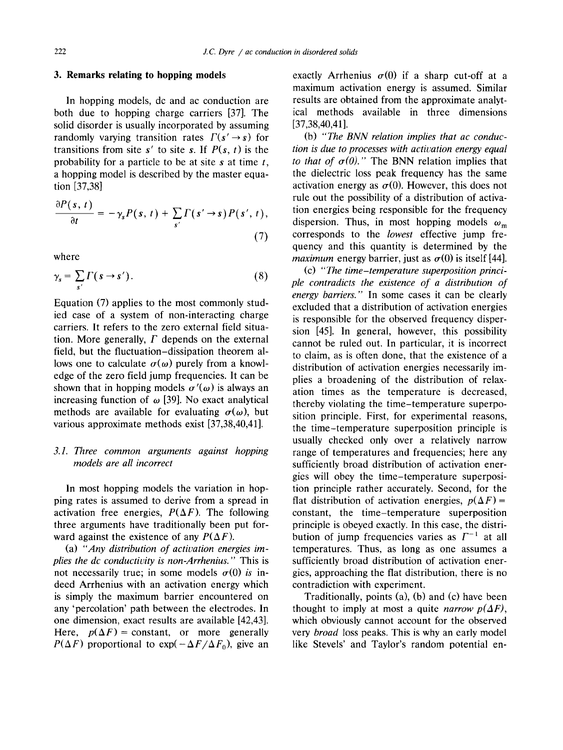#### **3. Remarks relating to hopping models**

In hopping models, dc and ac conduction are both due to hopping charge carriers [37]. The solid disorder is usually incorporated by assuming randomly varying transition rates  $\Gamma(s' \rightarrow s)$  for transitions from site  $s'$  to site s. If  $P(s, t)$  is the probability for a particle to be at site  $s$  at time  $t$ , a hopping model is described by the master equation [37,38]

$$
\frac{\partial P(s, t)}{\partial t} = -\gamma_s P(s, t) + \sum_{s'} \Gamma(s' \rightarrow s) P(s', t),
$$
\n(7)

where

$$
\gamma_s = \sum_{s'} \Gamma(s \to s'). \tag{8}
$$

Equation (7) applies to the most commonly studied case of a system of non-interacting charge carriers. It refers to the zero external field situation. More generally,  $\Gamma$  depends on the external field, but the fluctuation-dissipation theorem allows one to calculate  $\sigma(\omega)$  purely from a knowledge of the zero field jump frequencies. It can be shown that in hopping models  $\sigma'(\omega)$  is always an increasing function of  $\omega$  [39]. No exact analytical methods are available for evaluating  $\sigma(\omega)$ , but various approximate methods exist [37,38,40,41].

#### *3.1. Three common arguments against hopping models are all incorrect*

In most hopping models the variation in hopping rates is assumed to derive from a spread in activation free energies,  $P(\Delta F)$ . The following three arguments have traditionally been put forward against the existence of any  $P(\Delta F)$ .

(a) *"Any distribution of activation energies implies the dc conductivity is non-Arrhenius."* This is not necessarily true; in some models  $\sigma(0)$  *is* indeed Arrhenius with an activation energy which is simply the maximum barrier encountered on any 'percolation' path between the electrodes. In one dimension, exact results are available [42,43]. Here,  $p(\Delta F)$  = constant, or more generally  $P(\Delta F)$  proportional to  $\exp(-\Delta F/\Delta F_0)$ , give an

exactly Arrhenius  $\sigma(0)$  if a sharp cut-off at a maximum activation energy is assumed. Similar results are obtained from the approximate analytical methods available in three dimensions [37,38,40,41].

(b) *"The BNN relation implies that ac conduction is due to processes with activation energy equal to that of*  $\sigma(0)$ *."* The BNN relation implies that the dielectric loss peak frequency has the same activation energy as  $\sigma(0)$ . However, this does not rule out the possibility of a distribution of activation energies being responsible for the frequency dispersion. Thus, in most hopping models  $\omega_m$ corresponds to the *lowest* effective jump frequency and this quantity is determined by the *maximum* energy barrier, just as  $\sigma(0)$  is itself [44].

(c) *"The time-temperature superposition principle contradicts the existence of a distribution of energy barriers."* In some cases it can be clearly excluded that a distribution of activation energies is responsible for the observed frequency dispersion [45]. In general, however, this possibility cannot be ruled out. In particular, it is incorrect to claim, as is often done, that the existence of a distribution of activation energies necessarily implies a broadening of the distribution of relaxation times as the temperature is decreased, thereby violating the time-temperature superposition principle. First, for experimental reasons, the time-temperature superposition principle is usually checked only over a relatively narrow range of temperatures and frequencies; here any sufficiently broad distribution of activation energies will obey the time-temperature superposition principle rather accurately. Second, for the flat distribution of activation energies,  $p(\Delta F)$  = constant, the time-temperature superposition principle is obeyed exactly. In this case, the distribution of jump frequencies varies as  $\Gamma^{-1}$  at all temperatures. Thus, as long as one assumes a sufficiently broad distribution of activation energies, approaching the fiat distribution, there is no contradiction with experiment.

Traditionally, points (a), (b) and (c) have been thought to imply at most a quite *narrow*  $p(\Delta F)$ , which obviously cannot account for the observed very *broad* loss peaks. This is why an early model like Stevels' and Taylor's random potential en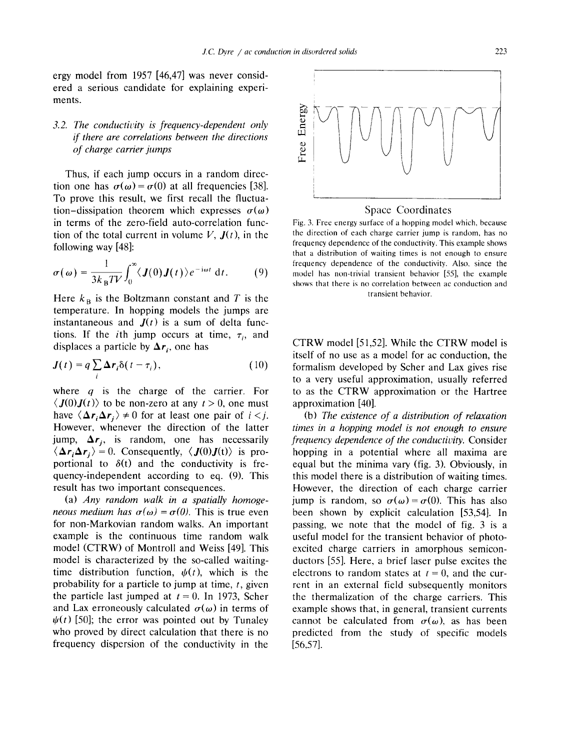ergy model from 1957 [46,47] was never considered a serious candidate for explaining experiments.

# *3.2. The conductivity is frequency-dependent only if there are correlations between the directions of charge carrier jumps*

Thus, if each jump occurs in a random direction one has  $\sigma(\omega) = \sigma(0)$  at all frequencies [38]. To prove this result, we first recall the fluctuation-dissipation theorem which expresses  $\sigma(\omega)$ in terms of the zero-field auto-correlation function of the total current in volume  $V$ ,  $J(t)$ , in the following way [48]:

$$
\sigma(\omega) = \frac{1}{3k_B T V} \int_0^{\infty} \langle J(0)J(t) \rangle e^{-i\omega t} dt.
$$
 (9)

Here  $k_B$  is the Boltzmann constant and T is the temperature. In hopping models the jumps are instantaneous and  $J(t)$  is a sum of delta functions. If the *i*th jump occurs at time,  $\tau_i$ , and displaces a particle by  $\Delta r_i$ , one has

$$
\mathbf{J}(t) = q \sum_{i} \Delta \mathbf{r}_{i} \delta(t - \tau_{i}), \qquad (10)
$$

where  $q$  is the charge of the carrier. For  $\langle J(0)J(t)\rangle$  to be non-zero at any  $t>0$ , one must have  $\langle \Delta r_i \Delta r_j \rangle \neq 0$  for at least one pair of  $i < j$ . However, whenever the direction of the latter jump,  $\Delta r_i$ , is random, one has necessarily  $\langle \Delta r_i \Delta r_j \rangle = 0$ . Consequently,  $\langle J(0)J(t) \rangle$  is proportional to  $\delta(t)$  and the conductivity is frequency-independent according to eq. (9). This result has two important consequences.

(a) *Any random walk in a spatially homogeneous medium has*  $\sigma(\omega) = \sigma(0)$ . This is true even for non-Markovian random walks. An important example is the continuous time random walk model (CTRW) of Montroll and Weiss [49]. This model is characterized by the so-called waitingtime distribution function,  $\psi(t)$ , which is the probability for a particle to jump at time,  $t$ , given the particle last jumped at  $t = 0$ . In 1973, Scher and Lax erroneously calculated  $\sigma(\omega)$  in terms of  $\psi(t)$  [50]; the error was pointed out by Tunaley who proved by direct calculation that there is no frequency dispersion of the conductivity in the



Fig. 3. Free energy surface of a hopping model which, because the direction of each charge carrier jump is random, has no frequency dependence of the conductivity. This example shows that a distribution of waiting times is not enough to ensure frequency dependence of the conductivity. Also, since the model has non-trivial transient behavior [55], the example shows that there is no correlation between ac conduction and transient behavior.

CTRW model [51,52]. While the CTRW model is itself of no use as a model for ac conduction, the formalism developed by Scher and Lax gives rise to a very useful approximation, usually referred to as the CTRW approximation or the Hartree approximation [40].

(b) *The existence of a distribution of relaxation times in a hopping model is not enough to ensure frequency dependence of the conductivity.* Consider hopping in a potential where all maxima are equal but the minima vary (fig. 3). Obviously, in this model there is a distribution of waiting times. However, the direction of each charge carrier jump is random, so  $\sigma(\omega) = \sigma(0)$ . This has also been shown by explicit calculation [53,54]. In passing, we note that the model of fig. 3 is a useful model for the transient behavior of photoexcited charge carriers in amorphous semiconductors [55]. Here, a brief laser pulse excites the electrons to random states at  $t = 0$ , and the current in an external field subsequently monitors the thermalization of the charge carriers. This example shows that, in general, transient currents cannot be calculated from  $\sigma(\omega)$ , as has been predicted from the study of specific models [56,57].

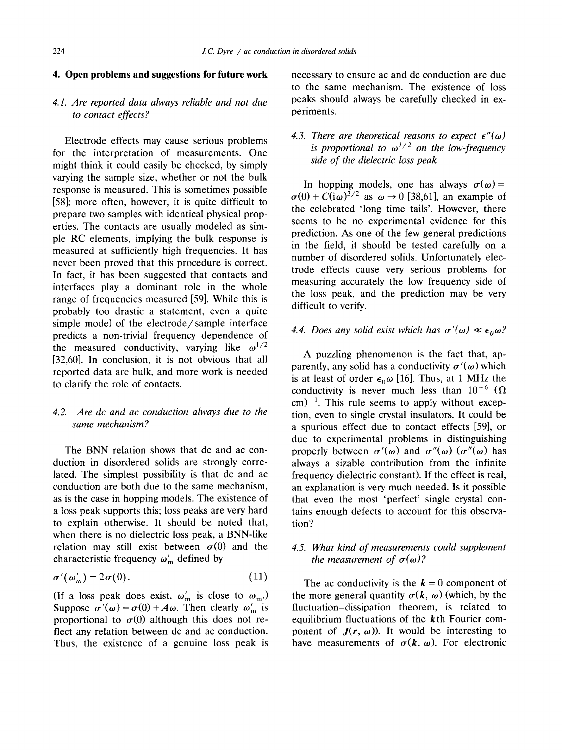#### **4. Open problems and suggestions for future work**

# *4.1. Are reported data always reliable and not due to contact effects?*

Electrode effects may cause serious problems for the interpretation of measurements. One might think it could easily be checked, by simply varying the sample size, whether or not the bulk response is measured. This is sometimes possible [58]; more often, however, it is quite difficult to prepare two samples with identical physical properties. The contacts are usually modeled as simple RC elements, implying the bulk response is measured at sufficiently high frequencies. It has never been proved that this procedure is correct. In fact, it has been suggested that contacts and interfaces play a dominant role in the whole range of frequencies measured [59]. While this is probably too drastic a statement, even a quite simple model of the electrode/sample interface predicts a non-trivial frequency dependence of the measured conductivity, varying like  $\omega^{1/2}$ [32,60]. In conclusion, it is not obvious that all reported data are bulk, and more work is needed to clarify the role of contacts.

#### *4.2. Are dc and ac conduction always due to the same mechanism?*

The BNN relation shows that dc and ac conduction in disordered solids are strongly correlated. The simplest possibility is that dc and ac conduction are both due to the same mechanism, as is the case in hopping models. The existence of a loss peak supports this; loss peaks are very hard to explain otherwise. It should be noted that, when there is no dielectric loss peak, a BNN-like relation may still exist between  $\sigma(0)$  and the characteristic frequency  $\omega'_{m}$  defined by

$$
\sigma'(\omega'_m) = 2\sigma(0). \tag{11}
$$

(If a loss peak does exist,  $\omega'_m$  is close to  $\omega_m$ .) Suppose  $\sigma'(\omega) = \sigma(0) + A\omega$ . Then clearly  $\omega'_{\rm m}$  is proportional to  $\sigma(0)$  although this does not reflect any relation between dc and ac conduction. Thus, the existence of a genuine loss peak is

necessary to ensure ac and dc conduction are due to the same mechanism. The existence of loss peaks should always be carefully checked in experiments.

# 4.3. There are theoretical reasons to expect  $\epsilon''(\omega)$ *is proportional to*  $\omega^{1/2}$  *on the low-frequency side of the dielectric loss peak*

In hopping models, one has always  $\sigma(\omega)$ =  $\sigma(0) + C(i\omega)^{3/2}$  as  $\omega \to 0$  [38,61], an example of the celebrated 'long time tails'. However, there seems to be no experimental evidence for this prediction. As one of the few general predictions in the field, it should be tested carefully on a number of disordered solids. Unfortunately electrode effects cause very serious problems for measuring accurately the low frequency side of the loss peak, and the prediction may be very difficult to verify.

# 4.4. Does any solid exist which has  $\sigma'(\omega) \ll \epsilon_0 \omega$ ?

A puzzling phenomenon is the fact that, apparently, any solid has a conductivity  $\sigma'(\omega)$  which is at least of order  $\epsilon_0 \omega$  [16]. Thus, at 1 MHz the conductivity is never much less than  $10^{-6}$  ( $\Omega$ )  $\text{cm}^{-1}$ . This rule seems to apply without exception, even to single crystal insulators. It could be a spurious effect due to contact effects [59], or due to experimental problems in distinguishing properly between  $\sigma'(\omega)$  and  $\sigma''(\omega)$  ( $\sigma''(\omega)$ ) has always a sizable contribution from the infinite frequency dielectric constant). If the effect is real, an explanation is very much needed. Is it possible that even the most 'perfect' single crystal contains enough defects to account for this observation?

#### *4.5. What kind of measurements could supplement the measurement of*  $\sigma(\omega)$ *?*

The ac conductivity is the  $k = 0$  component of the more general quantity  $\sigma(k, \omega)$  (which, by the fluctuation-dissipation theorem, is related to equilibrium fluctuations of the  $k$ th Fourier component of  $J(r, \omega)$ ). It would be interesting to have measurements of  $\sigma(k, \omega)$ . For electronic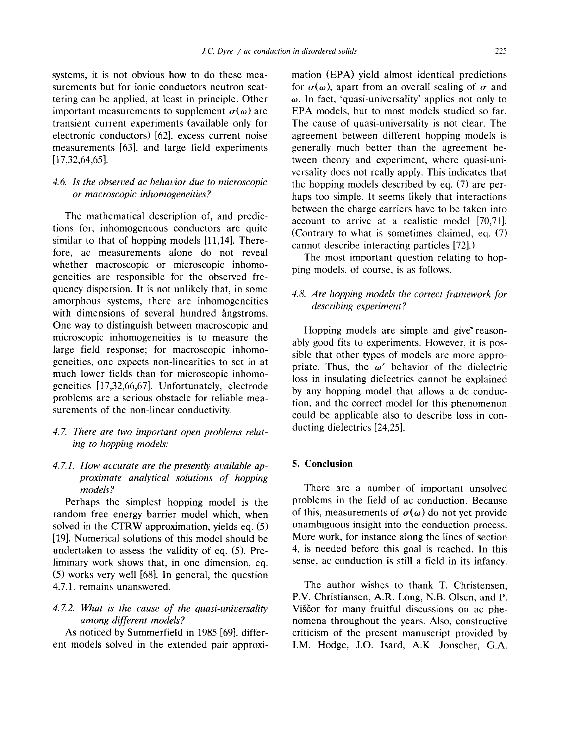systems, it is not obvious how to do these measurements but for ionic conductors neutron scattering can be applied, at least in principle. Other important measurements to supplement  $\sigma(\omega)$  are transient current experiments (available only for electronic conductors) [62], excess current noise measurements [63], and large field experiments [17,32,64,65].

#### 4.6. Is the observed ac behavior due to microscopic *or macroscopic inhomogeneities ?*

The mathematical description of, and predictions for, inhomogeneous conductors are quite similar to that of hopping models [11,14]. Therefore, ac measurements alone do not reveal whether macroscopic or microscopic inhomogeneities are responsible for the observed frequency dispersion. It is not unlikely that, in some amorphous systems, there are inhomogeneities with dimensions of several hundred angestroms. One way to distinguish between macroscopic and microscopic inhomogeneities is to measure the large field response; for macroscopic inhomogeneities, one expects non-linearities to set in at much lower fields than for microscopic inhomogeneities [17,32,66,67]. Unfortunately, electrode problems are a serious obstacle for reliable measurements of the non-linear conductivity.

*4. 7. There are two important open problems relating to hopping models:* 

#### 4.7.1. How accurate are the presently available ap*proximate analytical solutions of hopping models?*

Perhaps the simplest hopping model is the random free energy barrier model which, when solved in the CTRW approximation, yields eq. (5) [19]. Numerical solutions of this model should be undertaken to assess the validity of eq. (5). Preliminary work shows that, in one dimension, eq. (5) works very well [68]. In general, the question 4.7.1. remains unanswered.

#### *4.7.2. What is the cause of the quasi-universafity among different models?*

As noticed by Summerfield in 1985 [69], different models solved in the extended pair approximation (EPA) yield almost identical predictions for  $\sigma(\omega)$ , apart from an overall scaling of  $\sigma$  and  $\omega$ . In fact, 'quasi-universality' applies not only to EPA models, but to most models studied so far. The cause of quasi-universality is not clear. The agreement between different hopping models is generally much better than the agreement between theory and experiment, where quasi-universality does not really apply. This indicates that the hopping models described by eq. (7) are perhaps too simple. It seems likely that interactions between the charge carriers have to be taken into account to arrive at a realistic model [70,71]. (Contrary to what is sometimes claimed, eq. (7) cannot describe interacting particles [72].)

The most important question relating to hopping models, of course, is as follows.

#### *4.8. Are hopping models the correct framework for describing experiment?*

Hopping models are simple and give reasonably good fits to experiments. However, it is possible that other types of models are more appropriate. Thus, the  $\omega^s$  behavior of the dielectric loss in insulating dielectrics cannot be explained by any hopping model that allows a dc conduction, and the correct model for this phenomenon could be applicable also to describe loss in conducting dielectrics [24,25].

#### **5. Conclusion**

There are a number of important unsolved problems in the field of ac conduction. Because of this, measurements of  $\sigma(\omega)$  do not yet provide unambiguous insight into the conduction process. More work, for instance along the lines of section 4, is needed before this goal is reached. In this sense, ac conduction is still a field in its infancy.

The author wishes to thank T. Christensen, P.V. Christiansen, A.R. Long, N.B. Olsen, and P. Viščor for many fruitful discussions on ac phenomena throughout the years. Also, constructive criticism of the present manuscript provided by I.M. Hodge, J.O. Isard, A.K. Jonscher, G.A.